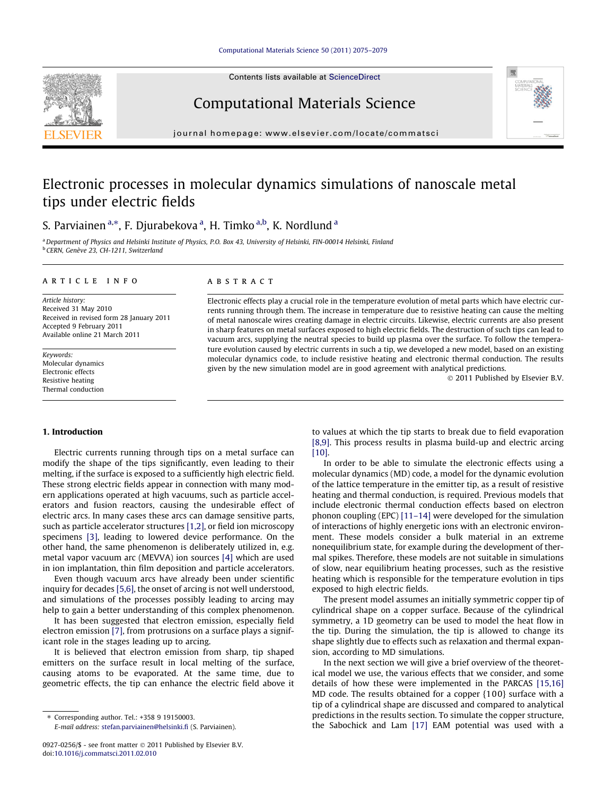Contents lists available at [ScienceDirect](http://www.sciencedirect.com/science/journal/09270256)

# Computational Materials Science

journal homepage: [www.elsevier.com/locate/commatsci](http://www.elsevier.com/locate/commatsci)

# Electronic processes in molecular dynamics simulations of nanoscale metal tips under electric fields

S. Parviainen <sup>a,\*</sup>, F. Djurabekova <sup>a</sup>, H. Timko <sup>a,b</sup>, K. Nordlund <sup>a</sup>

<sup>a</sup> Department of Physics and Helsinki Institute of Physics, P.O. Box 43, University of Helsinki, FIN-00014 Helsinki, Finland <sup>b</sup> CERN, Genève 23, CH-1211, Switzerland

# article info

Article history: Received 31 May 2010 Received in revised form 28 January 2011 Accepted 9 February 2011 Available online 21 March 2011

Keywords: Molecular dynamics Electronic effects Resistive heating Thermal conduction

# ABSTRACT

Electronic effects play a crucial role in the temperature evolution of metal parts which have electric currents running through them. The increase in temperature due to resistive heating can cause the melting of metal nanoscale wires creating damage in electric circuits. Likewise, electric currents are also present in sharp features on metal surfaces exposed to high electric fields. The destruction of such tips can lead to vacuum arcs, supplying the neutral species to build up plasma over the surface. To follow the temperature evolution caused by electric currents in such a tip, we developed a new model, based on an existing molecular dynamics code, to include resistive heating and electronic thermal conduction. The results given by the new simulation model are in good agreement with analytical predictions.

© 2011 Published by Elsevier B.V.

## 1. Introduction

Electric currents running through tips on a metal surface can modify the shape of the tips significantly, even leading to their melting, if the surface is exposed to a sufficiently high electric field. These strong electric fields appear in connection with many modern applications operated at high vacuums, such as particle accelerators and fusion reactors, causing the undesirable effect of electric arcs. In many cases these arcs can damage sensitive parts, such as particle accelerator structures [\[1,2\],](#page-4-0) or field ion microscopy specimens [\[3\]](#page-4-0), leading to lowered device performance. On the other hand, the same phenomenon is deliberately utilized in, e.g. metal vapor vacuum arc (MEVVA) ion sources [\[4\]](#page-4-0) which are used in ion implantation, thin film deposition and particle accelerators.

Even though vacuum arcs have already been under scientific inquiry for decades [\[5,6\],](#page-4-0) the onset of arcing is not well understood, and simulations of the processes possibly leading to arcing may help to gain a better understanding of this complex phenomenon.

It has been suggested that electron emission, especially field electron emission [\[7\]](#page-4-0), from protrusions on a surface plays a significant role in the stages leading up to arcing.

It is believed that electron emission from sharp, tip shaped emitters on the surface result in local melting of the surface, causing atoms to be evaporated. At the same time, due to geometric effects, the tip can enhance the electric field above it

⇑ Corresponding author. Tel.: +358 9 19150003.

to values at which the tip starts to break due to field evaporation [\[8,9\].](#page-4-0) This process results in plasma build-up and electric arcing [\[10\].](#page-4-0)

In order to be able to simulate the electronic effects using a molecular dynamics (MD) code, a model for the dynamic evolution of the lattice temperature in the emitter tip, as a result of resistive heating and thermal conduction, is required. Previous models that include electronic thermal conduction effects based on electron phonon coupling (EPC) [\[11–14\]](#page-4-0) were developed for the simulation of interactions of highly energetic ions with an electronic environment. These models consider a bulk material in an extreme nonequilibrium state, for example during the development of thermal spikes. Therefore, these models are not suitable in simulations of slow, near equilibrium heating processes, such as the resistive heating which is responsible for the temperature evolution in tips exposed to high electric fields.

The present model assumes an initially symmetric copper tip of cylindrical shape on a copper surface. Because of the cylindrical symmetry, a 1D geometry can be used to model the heat flow in the tip. During the simulation, the tip is allowed to change its shape slightly due to effects such as relaxation and thermal expansion, according to MD simulations.

In the next section we will give a brief overview of the theoretical model we use, the various effects that we consider, and some details of how these were implemented in the PARCAS [\[15,16\]](#page-4-0) MD code. The results obtained for a copper {10 0} surface with a tip of a cylindrical shape are discussed and compared to analytical predictions in the results section. To simulate the copper structure, the Sabochick and Lam [\[17\]](#page-4-0) EAM potential was used with a





E-mail address: [stefan.parviainen@helsinki.fi](mailto:stefan.parviainen@helsinki.fi) (S. Parviainen).

<sup>0927-0256/\$ -</sup> see front matter © 2011 Published by Elsevier B.V. doi[:10.1016/j.commatsci.2011.02.010](http://dx.doi.org/10.1016/j.commatsci.2011.02.010)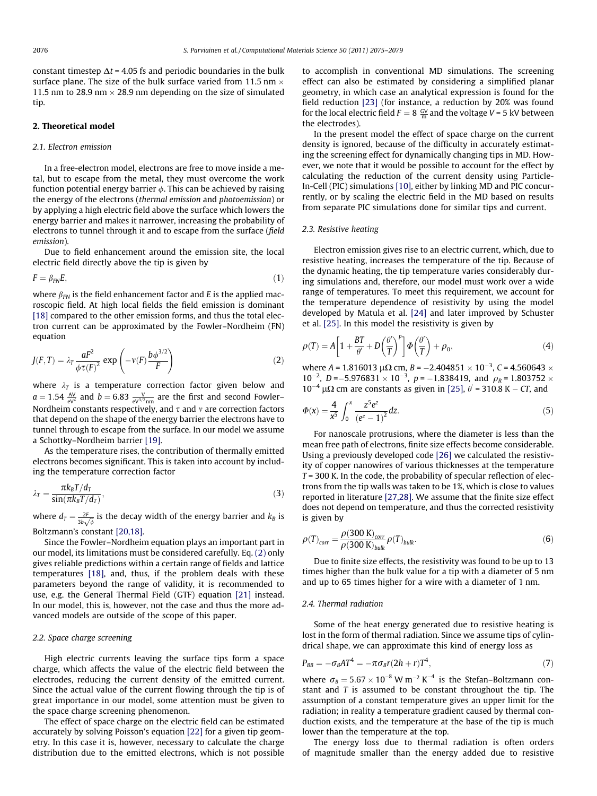<span id="page-1-0"></span>constant timestep  $\Delta t$  = 4.05 fs and periodic boundaries in the bulk surface plane. The size of the bulk surface varied from 11.5 nm  $\times$ 11.5 nm to 28.9 nm  $\times$  28.9 nm depending on the size of simulated tip.

# 2. Theoretical model

## 2.1. Electron emission

In a free-electron model, electrons are free to move inside a metal, but to escape from the metal, they must overcome the work function potential energy barrier  $\phi$ . This can be achieved by raising the energy of the electrons (thermal emission and photoemission) or by applying a high electric field above the surface which lowers the energy barrier and makes it narrower, increasing the probability of electrons to tunnel through it and to escape from the surface (field emission).

Due to field enhancement around the emission site, the local electric field directly above the tip is given by

$$
F = \beta_{FN} E, \tag{1}
$$

where  $\beta_{FN}$  is the field enhancement factor and E is the applied macroscopic field. At high local fields the field emission is dominant [\[18\]](#page-4-0) compared to the other emission forms, and thus the total electron current can be approximated by the Fowler–Nordheim (FN) equation

$$
J(F,T) = \lambda_T \frac{aF^2}{\phi \tau(F)^2} \exp\left(-\nu(F) \frac{b\phi^{3/2}}{F}\right)
$$
 (2)

where  $\lambda_T$  is a temperature correction factor given below and  $a = 1.54 \frac{AV}{ev^2}$  and  $b = 6.83 \frac{V}{ev^{3/2} \text{nm}}$  are the first and second Fowler– Nordheim constants respectively, and  $\tau$  and  $\nu$  are correction factors that depend on the shape of the energy barrier the electrons have to tunnel through to escape from the surface. In our model we assume a Schottky–Nordheim barrier [\[19\]](#page-4-0).

As the temperature rises, the contribution of thermally emitted electrons becomes significant. This is taken into account by including the temperature correction factor

$$
\lambda_T = \frac{\pi k_B T / d_T}{\sin(\pi k_B T / d_T)},\tag{3}
$$

where  $d_T = \frac{2F}{3b\sqrt{\phi}}$  is the decay width of the energy barrier and  $k_B$  is Boltzmann's constant [\[20,18\]](#page-4-0).

Since the Fowler–Nordheim equation plays an important part in our model, its limitations must be considered carefully. Eq. (2) only gives reliable predictions within a certain range of fields and lattice temperatures [\[18\],](#page-4-0) and, thus, if the problem deals with these parameters beyond the range of validity, it is recommended to use, e.g. the General Thermal Field (GTF) equation [\[21\]](#page-4-0) instead. In our model, this is, however, not the case and thus the more advanced models are outside of the scope of this paper.

# 2.2. Space charge screening

High electric currents leaving the surface tips form a space charge, which affects the value of the electric field between the electrodes, reducing the current density of the emitted current. Since the actual value of the current flowing through the tip is of great importance in our model, some attention must be given to the space charge screening phenomenon.

The effect of space charge on the electric field can be estimated accurately by solving Poisson's equation [\[22\]](#page-4-0) for a given tip geometry. In this case it is, however, necessary to calculate the charge distribution due to the emitted electrons, which is not possible

to accomplish in conventional MD simulations. The screening effect can also be estimated by considering a simplified planar geometry, in which case an analytical expression is found for the field reduction [\[23\]](#page-4-0) (for instance, a reduction by 20% was found for the local electric field  $F = 8 \frac{GV}{m}$  and the voltage V = 5 kV between the electrodes).

In the present model the effect of space charge on the current density is ignored, because of the difficulty in accurately estimating the screening effect for dynamically changing tips in MD. However, we note that it would be possible to account for the effect by calculating the reduction of the current density using Particle-In-Cell (PIC) simulations [\[10\]](#page-4-0), either by linking MD and PIC concurrently, or by scaling the electric field in the MD based on results from separate PIC simulations done for similar tips and current.

# 2.3. Resistive heating

Electron emission gives rise to an electric current, which, due to resistive heating, increases the temperature of the tip. Because of the dynamic heating, the tip temperature varies considerably during simulations and, therefore, our model must work over a wide range of temperatures. To meet this requirement, we account for the temperature dependence of resistivity by using the model developed by Matula et al. [\[24\]](#page-4-0) and later improved by Schuster et al. [\[25\].](#page-4-0) In this model the resistivity is given by

$$
\rho(T) = A \left[ 1 + \frac{BT}{\theta'} + D \left( \frac{\theta'}{T} \right)^p \right] \Phi \left( \frac{\theta'}{T} \right) + \rho_0, \tag{4}
$$

where A = 1.816013  $\mu\Omega$  cm, B = -2.404851  $\times$  10<sup>-3</sup>, C = 4.560643  $\times$  $10^{-2}$ , D = -5.976831  $\times$  10<sup>-3</sup>, p = -1.838419, and  $\rho_R$  = 1.803752  $\times$  $10^{-4}$   $\mu\Omega$  cm are constants as given in [\[25\]](#page-4-0),  $\theta$  = 310.8 K – CT, and

$$
\Phi(x) = \frac{4}{x^5} \int_0^x \frac{z^5 e^z}{(e^z - 1)^2} dz.
$$
\n(5)

For nanoscale protrusions, where the diameter is less than the mean free path of electrons, finite size effects become considerable. Using a previously developed code [\[26\]](#page-4-0) we calculated the resistivity of copper nanowires of various thicknesses at the temperature  $T = 300$  K. In the code, the probability of specular reflection of electrons from the tip walls was taken to be 1%, which is close to values reported in literature [\[27,28\].](#page-4-0) We assume that the finite size effect does not depend on temperature, and thus the corrected resistivity is given by

$$
\rho(T)_{corr} = \frac{\rho(300 \text{ K})_{corr}}{\rho(300 \text{ K})_{bulk}} \rho(T)_{bulk}.
$$
\n(6)

Due to finite size effects, the resistivity was found to be up to 13 times higher than the bulk value for a tip with a diameter of 5 nm and up to 65 times higher for a wire with a diameter of 1 nm.

## 2.4. Thermal radiation

Some of the heat energy generated due to resistive heating is lost in the form of thermal radiation. Since we assume tips of cylindrical shape, we can approximate this kind of energy loss as

$$
P_{BB} = -\sigma_B A T^4 = -\pi \sigma_B r (2h+r) T^4, \qquad (7)
$$

where  $\sigma_B = 5.67 \times 10^{-8}$  W m<sup>-2</sup> K<sup>-4</sup> is the Stefan–Boltzmann constant and  $T$  is assumed to be constant throughout the tip. The assumption of a constant temperature gives an upper limit for the radiation; in reality a temperature gradient caused by thermal conduction exists, and the temperature at the base of the tip is much lower than the temperature at the top.

The energy loss due to thermal radiation is often orders of magnitude smaller than the energy added due to resistive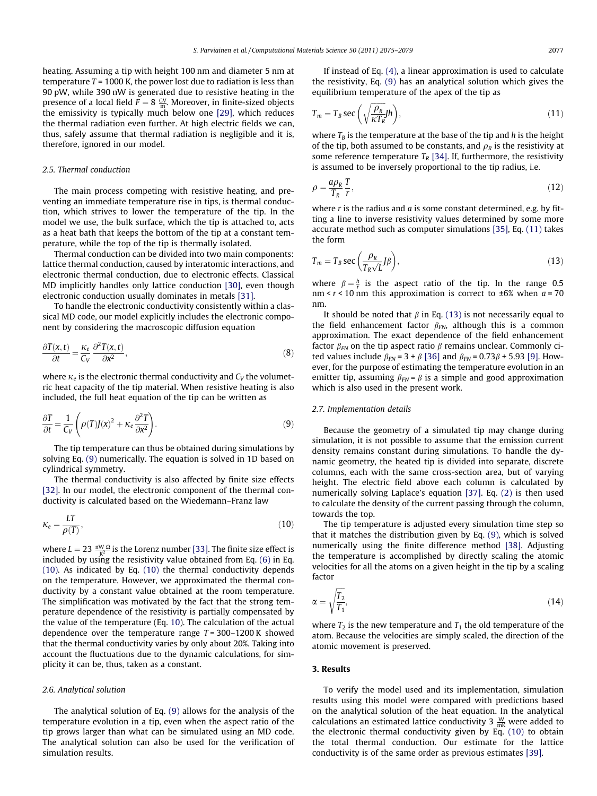<span id="page-2-0"></span>heating. Assuming a tip with height 100 nm and diameter 5 nm at temperature  $T = 1000$  K, the power lost due to radiation is less than 90 pW, while 390 nW is generated due to resistive heating in the presence of a local field  $F = 8 \frac{GV}{m}$ . Moreover, in finite-sized objects the emissivity is typically much below one [\[29\],](#page-4-0) which reduces the thermal radiation even further. At high electric fields we can, thus, safely assume that thermal radiation is negligible and it is, therefore, ignored in our model.

## 2.5. Thermal conduction

The main process competing with resistive heating, and preventing an immediate temperature rise in tips, is thermal conduction, which strives to lower the temperature of the tip. In the model we use, the bulk surface, which the tip is attached to, acts as a heat bath that keeps the bottom of the tip at a constant temperature, while the top of the tip is thermally isolated.

Thermal conduction can be divided into two main components: lattice thermal conduction, caused by interatomic interactions, and electronic thermal conduction, due to electronic effects. Classical MD implicitly handles only lattice conduction [\[30\]](#page-4-0), even though electronic conduction usually dominates in metals [\[31\].](#page-4-0)

To handle the electronic conductivity consistently within a classical MD code, our model explicitly includes the electronic component by considering the macroscopic diffusion equation

$$
\frac{\partial T(x,t)}{\partial t} = \frac{\kappa_e}{C_V} \frac{\partial^2 T(x,t)}{\partial x^2},\tag{8}
$$

where  $\kappa_e$  is the electronic thermal conductivity and  $C_V$  the volumetric heat capacity of the tip material. When resistive heating is also included, the full heat equation of the tip can be written as

$$
\frac{\partial T}{\partial t} = \frac{1}{C_V} \left( \rho(T) J(x)^2 + \kappa_e \frac{\partial^2 T}{\partial x^2} \right).
$$
 (9)

The tip temperature can thus be obtained during simulations by solving Eq. (9) numerically. The equation is solved in 1D based on cylindrical symmetry.

The thermal conductivity is also affected by finite size effects [\[32\].](#page-4-0) In our model, the electronic component of the thermal conductivity is calculated based on the Wiedemann–Franz law

$$
\kappa_e = \frac{LT}{\rho(T)},\tag{10}
$$

where  $L = 23 \frac{100 \Omega}{K^2}$  is the Lorenz number [\[33\].](#page-4-0) The finite size effect is included by using the resistivity value obtained from Eq. [\(6\)](#page-1-0) in Eq. (10). As indicated by Eq. (10) the thermal conductivity depends on the temperature. However, we approximated the thermal conductivity by a constant value obtained at the room temperature. The simplification was motivated by the fact that the strong temperature dependence of the resistivity is partially compensated by the value of the temperature (Eq. 10). The calculation of the actual dependence over the temperature range  $T = 300-1200$  K showed that the thermal conductivity varies by only about 20%. Taking into account the fluctuations due to the dynamic calculations, for simplicity it can be, thus, taken as a constant.

# 2.6. Analytical solution

The analytical solution of Eq. (9) allows for the analysis of the temperature evolution in a tip, even when the aspect ratio of the tip grows larger than what can be simulated using an MD code. The analytical solution can also be used for the verification of simulation results.

If instead of Eq. [\(4\),](#page-1-0) a linear approximation is used to calculate the resistivity, Eq. (9) has an analytical solution which gives the equilibrium temperature of the apex of the tip as

$$
T_m = T_B \sec\left(\sqrt{\frac{\rho_R}{\kappa T_R}} J h\right),\tag{11}
$$

where  $T_B$  is the temperature at the base of the tip and h is the height of the tip, both assumed to be constants, and  $\rho_R$  is the resistivity at some reference temperature  $T_R$  [\[34\]](#page-4-0). If, furthermore, the resistivity is assumed to be inversely proportional to the tip radius, i.e.

$$
\rho = \frac{a\rho_R}{T_R} \frac{T}{r},\tag{12}
$$

where  $r$  is the radius and  $a$  is some constant determined, e.g. by fitting a line to inverse resistivity values determined by some more accurate method such as computer simulations [\[35\]](#page-4-0), Eq. (11) takes the form

$$
T_m = T_B \sec\left(\frac{\rho_R}{T_R \sqrt{L}} J\beta\right),\tag{13}
$$

where  $\beta = \frac{h}{r}$  is the aspect ratio of the tip. In the range 0.5 nm <  $r$  < 10 nm this approximation is correct to  $\pm 6\%$  when  $a = 70$ nm.

It should be noted that  $\beta$  in Eq. (13) is not necessarily equal to the field enhancement factor  $\beta_{FN}$ , although this is a common approximation. The exact dependence of the field enhancement factor  $\beta_{FN}$  on the tip aspect ratio  $\beta$  remains unclear. Commonly cited values include  $\beta_{FN} = 3 + \beta$  [\[36\]](#page-4-0) and  $\beta_{FN} = 0.73\beta + 5.93$  [\[9\]](#page-4-0). However, for the purpose of estimating the temperature evolution in an emitter tip, assuming  $\beta_{FN} = \beta$  is a simple and good approximation which is also used in the present work.

#### 2.7. Implementation details

Because the geometry of a simulated tip may change during simulation, it is not possible to assume that the emission current density remains constant during simulations. To handle the dynamic geometry, the heated tip is divided into separate, discrete columns, each with the same cross-section area, but of varying height. The electric field above each column is calculated by numerically solving Laplace's equation [\[37\].](#page-4-0) Eq. [\(2\)](#page-1-0) is then used to calculate the density of the current passing through the column, towards the top.

The tip temperature is adjusted every simulation time step so that it matches the distribution given by Eq. (9), which is solved numerically using the finite difference method [\[38\].](#page-4-0) Adjusting the temperature is accomplished by directly scaling the atomic velocities for all the atoms on a given height in the tip by a scaling factor

$$
\alpha = \sqrt{\frac{T_2}{T_1}},\tag{14}
$$

where  $T_2$  is the new temperature and  $T_1$  the old temperature of the atom. Because the velocities are simply scaled, the direction of the atomic movement is preserved.

#### 3. Results

To verify the model used and its implementation, simulation results using this model were compared with predictions based on the analytical solution of the heat equation. In the analytical calculations an estimated lattice conductivity 3  $\frac{W}{mK}$  were added to the electronic thermal conductivity given by Eq. (10) to obtain the total thermal conduction. Our estimate for the lattice conductivity is of the same order as previous estimates [\[39\]](#page-4-0).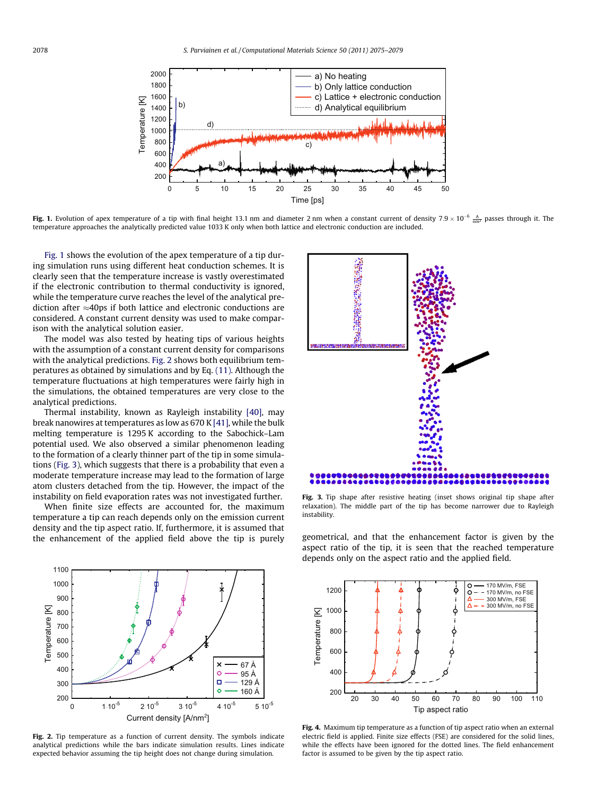<span id="page-3-0"></span>

**Fig. 1.** Evolution of apex temperature of a tip with final height 13.1 nm and diameter 2 nm when a constant current of density 7.9  $\times$  10<sup>-6</sup>  $\frac{A}{nm^2}$  passes through it. The temperature approaches the analytically predicted value 1033 K only when both lattice and electronic conduction are included.

Fig. 1 shows the evolution of the apex temperature of a tip during simulation runs using different heat conduction schemes. It is clearly seen that the temperature increase is vastly overestimated if the electronic contribution to thermal conductivity is ignored, while the temperature curve reaches the level of the analytical prediction after  $\approx$ 40ps if both lattice and electronic conductions are considered. A constant current density was used to make comparison with the analytical solution easier.

The model was also tested by heating tips of various heights with the assumption of a constant current density for comparisons with the analytical predictions. Fig. 2 shows both equilibrium temperatures as obtained by simulations and by Eq. [\(11\).](#page-2-0) Although the temperature fluctuations at high temperatures were fairly high in the simulations, the obtained temperatures are very close to the analytical predictions.

Thermal instability, known as Rayleigh instability [\[40\]](#page-4-0), may break nanowires at temperatures as low as 670 K [\[41\],](#page-4-0) while the bulk melting temperature is 1295 K according to the Sabochick–Lam potential used. We also observed a similar phenomenon leading to the formation of a clearly thinner part of the tip in some simulations (Fig. 3), which suggests that there is a probability that even a moderate temperature increase may lead to the formation of large atom clusters detached from the tip. However, the impact of the instability on field evaporation rates was not investigated further.

When finite size effects are accounted for, the maximum temperature a tip can reach depends only on the emission current density and the tip aspect ratio. If, furthermore, it is assumed that the enhancement of the applied field above the tip is purely geometrical, and that the enhancement factor is given by the



Fig. 2. Tip temperature as a function of current density. The symbols indicate analytical predictions while the bars indicate simulation results. Lines indicate expected behavior assuming the tip height does not change during simulation.



Fig. 3. Tip shape after resistive heating (inset shows original tip shape after relaxation). The middle part of the tip has become narrower due to Rayleigh instability.

aspect ratio of the tip, it is seen that the reached temperature depends only on the aspect ratio and the applied field.



Fig. 4. Maximum tip temperature as a function of tip aspect ratio when an external electric field is applied. Finite size effects (FSE) are considered for the solid lines, while the effects have been ignored for the dotted lines. The field enhancement factor is assumed to be given by the tip aspect ratio.